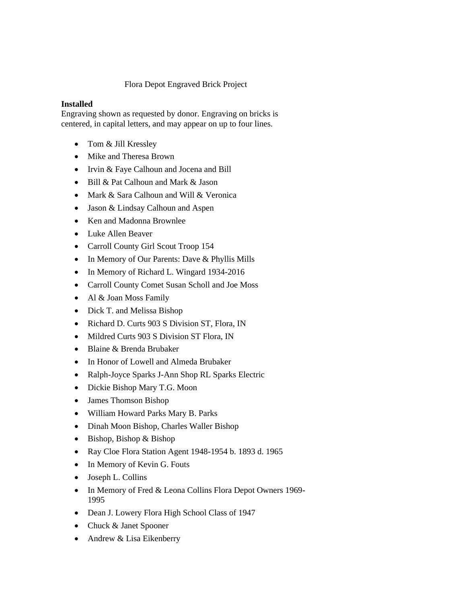## Flora Depot Engraved Brick Project

## **Installed**

Engraving shown as requested by donor. Engraving on bricks is centered, in capital letters, and may appear on up to four lines.

- Tom & Jill Kressley
- Mike and Theresa Brown
- Irvin & Faye Calhoun and Jocena and Bill
- Bill & Pat Calhoun and Mark & Jason
- Mark & Sara Calhoun and Will & Veronica
- Jason & Lindsay Calhoun and Aspen
- Ken and Madonna Brownlee
- Luke Allen Beaver
- Carroll County Girl Scout Troop 154
- In Memory of Our Parents: Dave & Phyllis Mills
- In Memory of Richard L. Wingard 1934-2016
- Carroll County Comet Susan Scholl and Joe Moss
- Al & Joan Moss Family
- Dick T. and Melissa Bishop
- Richard D. Curts 903 S Division ST, Flora, IN
- Mildred Curts 903 S Division ST Flora, IN
- Blaine & Brenda Brubaker
- In Honor of Lowell and Almeda Brubaker
- Ralph-Joyce Sparks J-Ann Shop RL Sparks Electric
- Dickie Bishop Mary T.G. Moon
- James Thomson Bishop
- William Howard Parks Mary B. Parks
- Dinah Moon Bishop, Charles Waller Bishop
- Bishop, Bishop & Bishop
- Ray Cloe Flora Station Agent 1948-1954 b. 1893 d. 1965
- In Memory of Kevin G. Fouts
- Joseph L. Collins
- In Memory of Fred & Leona Collins Flora Depot Owners 1969- 1995
- Dean J. Lowery Flora High School Class of 1947
- Chuck & Janet Spooner
- Andrew & Lisa Eikenberry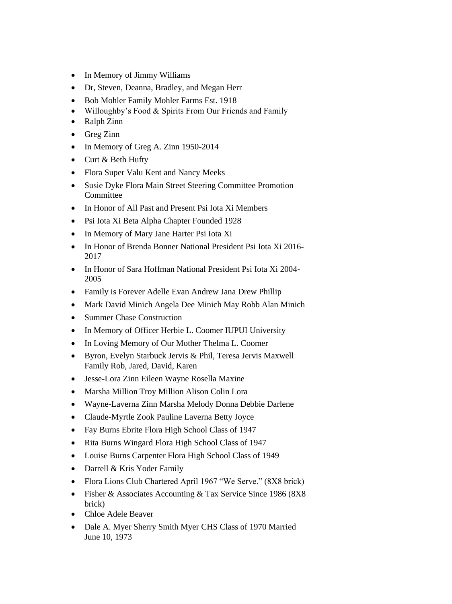- In Memory of Jimmy Williams
- Dr, Steven, Deanna, Bradley, and Megan Herr
- Bob Mohler Family Mohler Farms Est. 1918
- Willoughby's Food & Spirits From Our Friends and Family
- Ralph Zinn
- Greg Zinn
- In Memory of Greg A. Zinn 1950-2014
- Curt & Beth Hufty
- Flora Super Valu Kent and Nancy Meeks
- Susie Dyke Flora Main Street Steering Committee Promotion **Committee**
- In Honor of All Past and Present Psi Iota Xi Members
- Psi Iota Xi Beta Alpha Chapter Founded 1928
- In Memory of Mary Jane Harter Psi Iota Xi
- In Honor of Brenda Bonner National President Psi Iota Xi 2016- 2017
- In Honor of Sara Hoffman National President Psi Iota Xi 2004-2005
- Family is Forever Adelle Evan Andrew Jana Drew Phillip
- Mark David Minich Angela Dee Minich May Robb Alan Minich
- Summer Chase Construction
- In Memory of Officer Herbie L. Coomer IUPUI University
- In Loving Memory of Our Mother Thelma L. Coomer
- Byron, Evelyn Starbuck Jervis & Phil, Teresa Jervis Maxwell Family Rob, Jared, David, Karen
- Jesse-Lora Zinn Eileen Wayne Rosella Maxine
- Marsha Million Troy Million Alison Colin Lora
- Wayne-Laverna Zinn Marsha Melody Donna Debbie Darlene
- Claude-Myrtle Zook Pauline Laverna Betty Joyce
- Fay Burns Ebrite Flora High School Class of 1947
- Rita Burns Wingard Flora High School Class of 1947
- Louise Burns Carpenter Flora High School Class of 1949
- Darrell & Kris Yoder Family
- Flora Lions Club Chartered April 1967 "We Serve." (8X8 brick)
- Fisher & Associates Accounting & Tax Service Since 1986 (8X8) brick)
- Chloe Adele Beaver
- Dale A. Myer Sherry Smith Myer CHS Class of 1970 Married June 10, 1973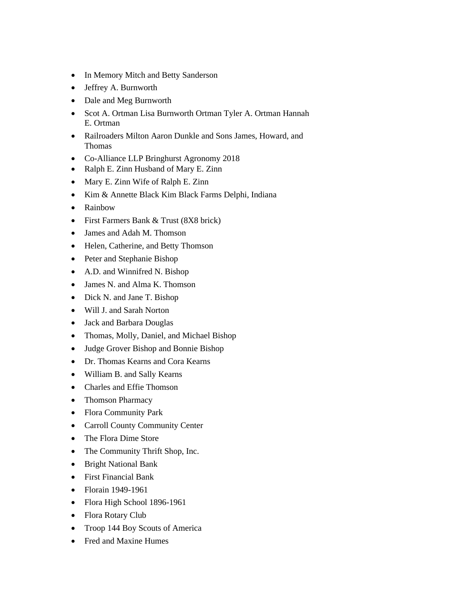- In Memory Mitch and Betty Sanderson
- Jeffrey A. Burnworth
- Dale and Meg Burnworth
- Scot A. Ortman Lisa Burnworth Ortman Tyler A. Ortman Hannah E. Ortman
- Railroaders Milton Aaron Dunkle and Sons James, Howard, and Thomas
- Co-Alliance LLP Bringhurst Agronomy 2018
- Ralph E. Zinn Husband of Mary E. Zinn
- Mary E. Zinn Wife of Ralph E. Zinn
- Kim & Annette Black Kim Black Farms Delphi, Indiana
- Rainbow
- First Farmers Bank & Trust (8X8 brick)
- James and Adah M. Thomson
- Helen, Catherine, and Betty Thomson
- Peter and Stephanie Bishop
- A.D. and Winnifred N. Bishop
- James N. and Alma K. Thomson
- Dick N. and Jane T. Bishop
- Will J. and Sarah Norton
- Jack and Barbara Douglas
- Thomas, Molly, Daniel, and Michael Bishop
- Judge Grover Bishop and Bonnie Bishop
- Dr. Thomas Kearns and Cora Kearns
- William B. and Sally Kearns
- Charles and Effie Thomson
- Thomson Pharmacy
- Flora Community Park
- Carroll County Community Center
- The Flora Dime Store
- The Community Thrift Shop, Inc.
- Bright National Bank
- First Financial Bank
- Florain 1949-1961
- Flora High School 1896-1961
- Flora Rotary Club
- Troop 144 Boy Scouts of America
- Fred and Maxine Humes